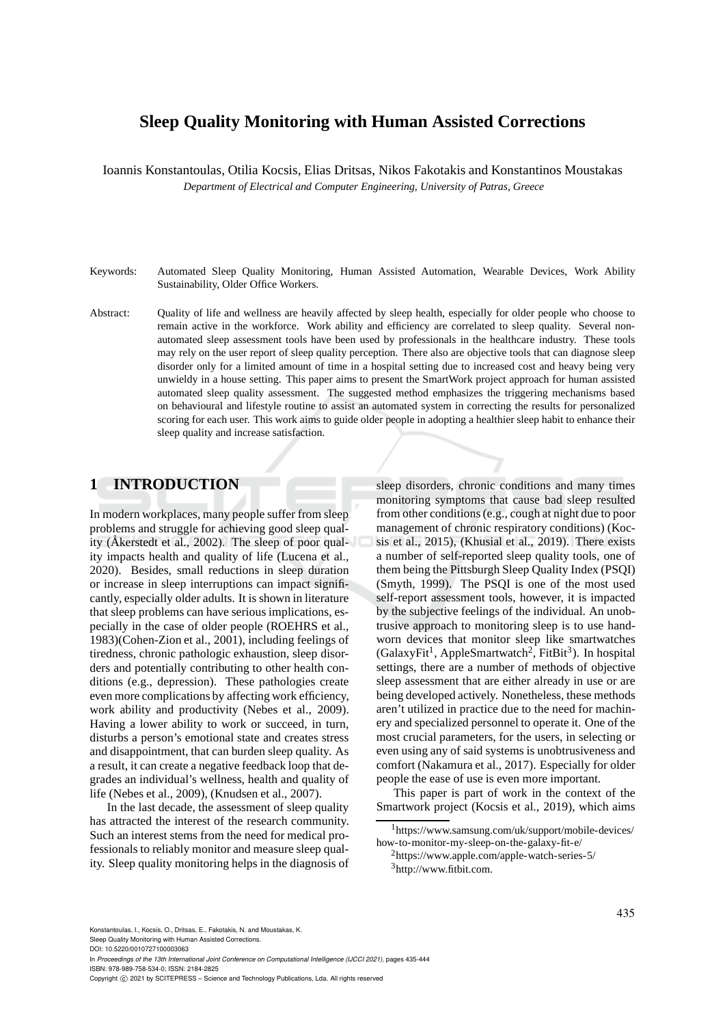# **Sleep Quality Monitoring with Human Assisted Corrections**

Ioannis Konstantoulas, Otilia Kocsis, Elias Dritsas, Nikos Fakotakis and Konstantinos Moustakas *Department of Electrical and Computer Engineering, University of Patras, Greece*

- Keywords: Automated Sleep Quality Monitoring, Human Assisted Automation, Wearable Devices, Work Ability Sustainability, Older Office Workers.
- Abstract: Quality of life and wellness are heavily affected by sleep health, especially for older people who choose to remain active in the workforce. Work ability and efficiency are correlated to sleep quality. Several nonautomated sleep assessment tools have been used by professionals in the healthcare industry. These tools may rely on the user report of sleep quality perception. There also are objective tools that can diagnose sleep disorder only for a limited amount of time in a hospital setting due to increased cost and heavy being very unwieldy in a house setting. This paper aims to present the SmartWork project approach for human assisted automated sleep quality assessment. The suggested method emphasizes the triggering mechanisms based on behavioural and lifestyle routine to assist an automated system in correcting the results for personalized scoring for each user. This work aims to guide older people in adopting a healthier sleep habit to enhance their sleep quality and increase satisfaction.

## **1 INTRODUCTION**

In modern workplaces, many people suffer from sleep problems and struggle for achieving good sleep quality (Åkerstedt et al., 2002). The sleep of poor quality impacts health and quality of life (Lucena et al., 2020). Besides, small reductions in sleep duration or increase in sleep interruptions can impact significantly, especially older adults. It is shown in literature that sleep problems can have serious implications, especially in the case of older people (ROEHRS et al., 1983)(Cohen-Zion et al., 2001), including feelings of tiredness, chronic pathologic exhaustion, sleep disorders and potentially contributing to other health conditions (e.g., depression). These pathologies create even more complications by affecting work efficiency, work ability and productivity (Nebes et al., 2009). Having a lower ability to work or succeed, in turn, disturbs a person's emotional state and creates stress and disappointment, that can burden sleep quality. As a result, it can create a negative feedback loop that degrades an individual's wellness, health and quality of life (Nebes et al., 2009), (Knudsen et al., 2007).

In the last decade, the assessment of sleep quality has attracted the interest of the research community. Such an interest stems from the need for medical professionals to reliably monitor and measure sleep quality. Sleep quality monitoring helps in the diagnosis of

sleep disorders, chronic conditions and many times monitoring symptoms that cause bad sleep resulted from other conditions (e.g., cough at night due to poor management of chronic respiratory conditions) (Kocsis et al., 2015), (Khusial et al., 2019). There exists a number of self-reported sleep quality tools, one of them being the Pittsburgh Sleep Quality Index (PSQI) (Smyth, 1999). The PSQI is one of the most used self-report assessment tools, however, it is impacted by the subjective feelings of the individual. An unobtrusive approach to monitoring sleep is to use handworn devices that monitor sleep like smartwatches (GalaxyFit<sup>1</sup>, AppleSmartwatch<sup>2</sup>, FitBit<sup>3</sup>). In hospital settings, there are a number of methods of objective sleep assessment that are either already in use or are being developed actively. Nonetheless, these methods aren't utilized in practice due to the need for machinery and specialized personnel to operate it. One of the most crucial parameters, for the users, in selecting or even using any of said systems is unobtrusiveness and comfort (Nakamura et al., 2017). Especially for older people the ease of use is even more important.

This paper is part of work in the context of the Smartwork project (Kocsis et al., 2019), which aims

DOI: 10.5220/0010727100003063

In *Proceedings of the 13th International Joint Conference on Computational Intelligence (IJCCI 2021)*, pages 435-444 ISBN: 978-989-758-534-0; ISSN: 2184-2825

Copyright (C) 2021 by SCITEPRESS - Science and Technology Publications, Lda. All rights reserved

<sup>1</sup>https://www.samsung.com/uk/support/mobile-devices/ how-to-monitor-my-sleep-on-the-galaxy-fit-e/

<sup>2</sup>https://www.apple.com/apple-watch-series-5/

 $3$ http://www.fitbit.com.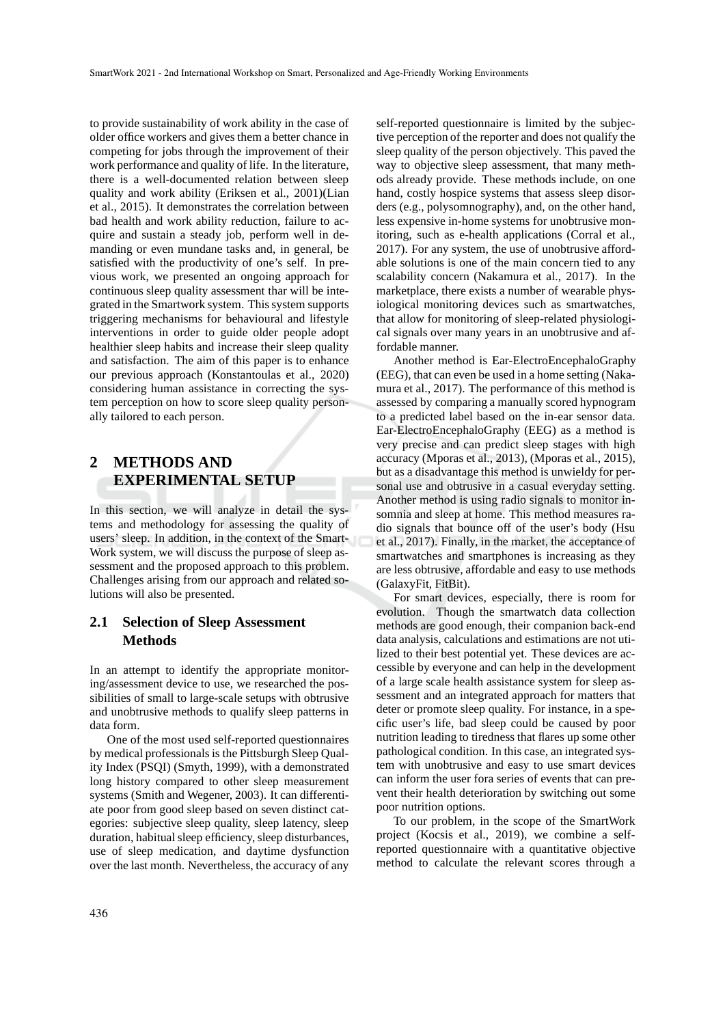to provide sustainability of work ability in the case of older office workers and gives them a better chance in competing for jobs through the improvement of their work performance and quality of life. In the literature, there is a well-documented relation between sleep quality and work ability (Eriksen et al., 2001)(Lian et al., 2015). It demonstrates the correlation between bad health and work ability reduction, failure to acquire and sustain a steady job, perform well in demanding or even mundane tasks and, in general, be satisfied with the productivity of one's self. In previous work, we presented an ongoing approach for continuous sleep quality assessment thar will be integrated in the Smartwork system. This system supports triggering mechanisms for behavioural and lifestyle interventions in order to guide older people adopt healthier sleep habits and increase their sleep quality and satisfaction. The aim of this paper is to enhance our previous approach (Konstantoulas et al., 2020) considering human assistance in correcting the system perception on how to score sleep quality personally tailored to each person.

# **2 METHODS AND EXPERIMENTAL SETUP**

In this section, we will analyze in detail the systems and methodology for assessing the quality of users' sleep. In addition, in the context of the Smart-Work system, we will discuss the purpose of sleep assessment and the proposed approach to this problem. Challenges arising from our approach and related solutions will also be presented.

## **2.1 Selection of Sleep Assessment Methods**

In an attempt to identify the appropriate monitoring/assessment device to use, we researched the possibilities of small to large-scale setups with obtrusive and unobtrusive methods to qualify sleep patterns in data form.

One of the most used self-reported questionnaires by medical professionals is the Pittsburgh Sleep Quality Index (PSQI) (Smyth, 1999), with a demonstrated long history compared to other sleep measurement systems (Smith and Wegener, 2003). It can differentiate poor from good sleep based on seven distinct categories: subjective sleep quality, sleep latency, sleep duration, habitual sleep efficiency, sleep disturbances, use of sleep medication, and daytime dysfunction over the last month. Nevertheless, the accuracy of any

self-reported questionnaire is limited by the subjective perception of the reporter and does not qualify the sleep quality of the person objectively. This paved the way to objective sleep assessment, that many methods already provide. These methods include, on one hand, costly hospice systems that assess sleep disorders (e.g., polysomnography), and, on the other hand, less expensive in-home systems for unobtrusive monitoring, such as e-health applications (Corral et al., 2017). For any system, the use of unobtrusive affordable solutions is one of the main concern tied to any scalability concern (Nakamura et al., 2017). In the marketplace, there exists a number of wearable physiological monitoring devices such as smartwatches, that allow for monitoring of sleep-related physiological signals over many years in an unobtrusive and affordable manner.

Another method is Ear-ElectroEncephaloGraphy (EEG), that can even be used in a home setting (Nakamura et al., 2017). The performance of this method is assessed by comparing a manually scored hypnogram to a predicted label based on the in-ear sensor data. Ear-ElectroEncephaloGraphy (EEG) as a method is very precise and can predict sleep stages with high accuracy (Mporas et al., 2013), (Mporas et al., 2015), but as a disadvantage this method is unwieldy for personal use and obtrusive in a casual everyday setting. Another method is using radio signals to monitor insomnia and sleep at home. This method measures radio signals that bounce off of the user's body (Hsu et al., 2017). Finally, in the market, the acceptance of smartwatches and smartphones is increasing as they are less obtrusive, affordable and easy to use methods (GalaxyFit, FitBit).

For smart devices, especially, there is room for evolution. Though the smartwatch data collection methods are good enough, their companion back-end data analysis, calculations and estimations are not utilized to their best potential yet. These devices are accessible by everyone and can help in the development of a large scale health assistance system for sleep assessment and an integrated approach for matters that deter or promote sleep quality. For instance, in a specific user's life, bad sleep could be caused by poor nutrition leading to tiredness that flares up some other pathological condition. In this case, an integrated system with unobtrusive and easy to use smart devices can inform the user fora series of events that can prevent their health deterioration by switching out some poor nutrition options.

To our problem, in the scope of the SmartWork project (Kocsis et al., 2019), we combine a selfreported questionnaire with a quantitative objective method to calculate the relevant scores through a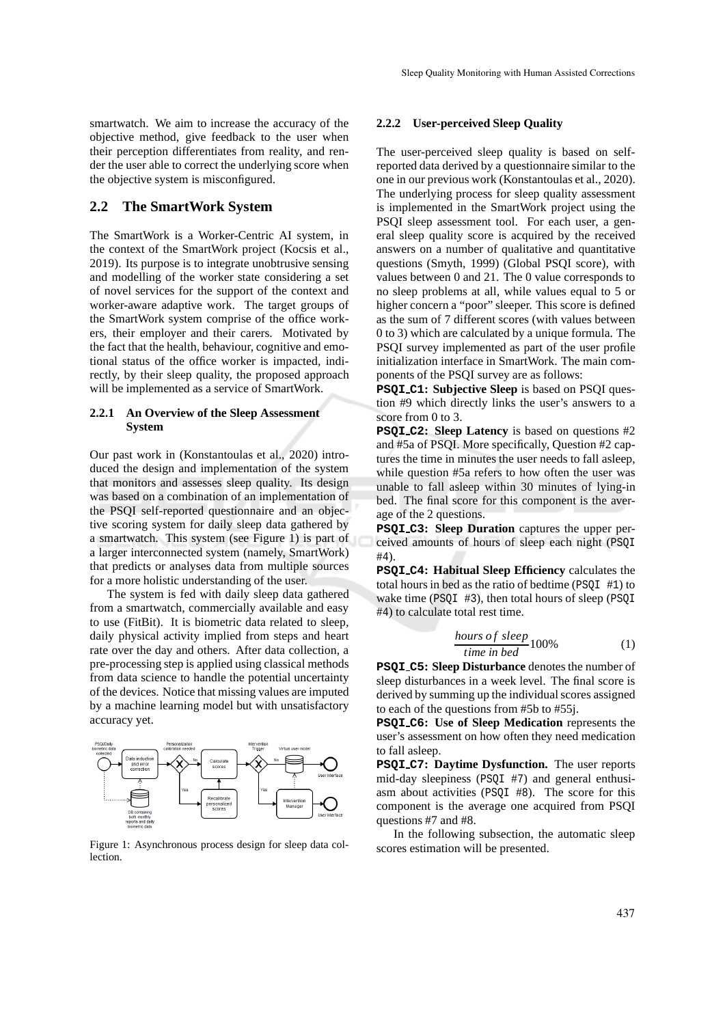smartwatch. We aim to increase the accuracy of the objective method, give feedback to the user when their perception differentiates from reality, and render the user able to correct the underlying score when the objective system is misconfigured.

### **2.2 The SmartWork System**

The SmartWork is a Worker-Centric AI system, in the context of the SmartWork project (Kocsis et al., 2019). Its purpose is to integrate unobtrusive sensing and modelling of the worker state considering a set of novel services for the support of the context and worker-aware adaptive work. The target groups of the SmartWork system comprise of the office workers, their employer and their carers. Motivated by the fact that the health, behaviour, cognitive and emotional status of the office worker is impacted, indirectly, by their sleep quality, the proposed approach will be implemented as a service of SmartWork.

### **2.2.1 An Overview of the Sleep Assessment System**

Our past work in (Konstantoulas et al., 2020) introduced the design and implementation of the system that monitors and assesses sleep quality. Its design was based on a combination of an implementation of the PSQI self-reported questionnaire and an objective scoring system for daily sleep data gathered by a smartwatch. This system (see Figure 1) is part of a larger interconnected system (namely, SmartWork) that predicts or analyses data from multiple sources for a more holistic understanding of the user.

The system is fed with daily sleep data gathered from a smartwatch, commercially available and easy to use (FitBit). It is biometric data related to sleep, daily physical activity implied from steps and heart rate over the day and others. After data collection, a pre-processing step is applied using classical methods from data science to handle the potential uncertainty of the devices. Notice that missing values are imputed by a machine learning model but with unsatisfactory accuracy yet.



Figure 1: Asynchronous process design for sleep data collection.

### **2.2.2 User-perceived Sleep Quality**

The user-perceived sleep quality is based on selfreported data derived by a questionnaire similar to the one in our previous work (Konstantoulas et al., 2020). The underlying process for sleep quality assessment is implemented in the SmartWork project using the PSQI sleep assessment tool. For each user, a general sleep quality score is acquired by the received answers on a number of qualitative and quantitative questions (Smyth, 1999) (Global PSQI score), with values between 0 and 21. The 0 value corresponds to no sleep problems at all, while values equal to 5 or higher concern a "poor" sleeper. This score is defined as the sum of 7 different scores (with values between 0 to 3) which are calculated by a unique formula. The PSQI survey implemented as part of the user profile initialization interface in SmartWork. The main components of the PSQI survey are as follows:

**PSQI C1: Subjective Sleep** is based on PSQI question #9 which directly links the user's answers to a score from 0 to 3.

**PSQI C2: Sleep Latency** is based on questions #2 and #5a of PSQI. More specifically, Question #2 captures the time in minutes the user needs to fall asleep, while question #5a refers to how often the user was unable to fall asleep within 30 minutes of lying-in bed. The final score for this component is the average of the 2 questions.

**PSQI C3: Sleep Duration** captures the upper perceived amounts of hours of sleep each night (PSQI #4).

**PSQI C4: Habitual Sleep Efficiency** calculates the total hours in bed as the ratio of bedtime (PSQI #1) to wake time (PSOI #3), then total hours of sleep (PSOI) #4) to calculate total rest time.

$$
\frac{hours\ of\ sleep}{time\ in\ bed}100\%
$$
 (1)

**PSQI C5: Sleep Disturbance** denotes the number of sleep disturbances in a week level. The final score is derived by summing up the individual scores assigned to each of the questions from #5b to #55j.

**PSQI C6: Use of Sleep Medication** represents the user's assessment on how often they need medication to fall asleep.

**PSQI C7: Daytime Dysfunction.** The user reports mid-day sleepiness (PSQI #7) and general enthusiasm about activities (PSQI #8). The score for this component is the average one acquired from PSQI questions #7 and #8.

In the following subsection, the automatic sleep scores estimation will be presented.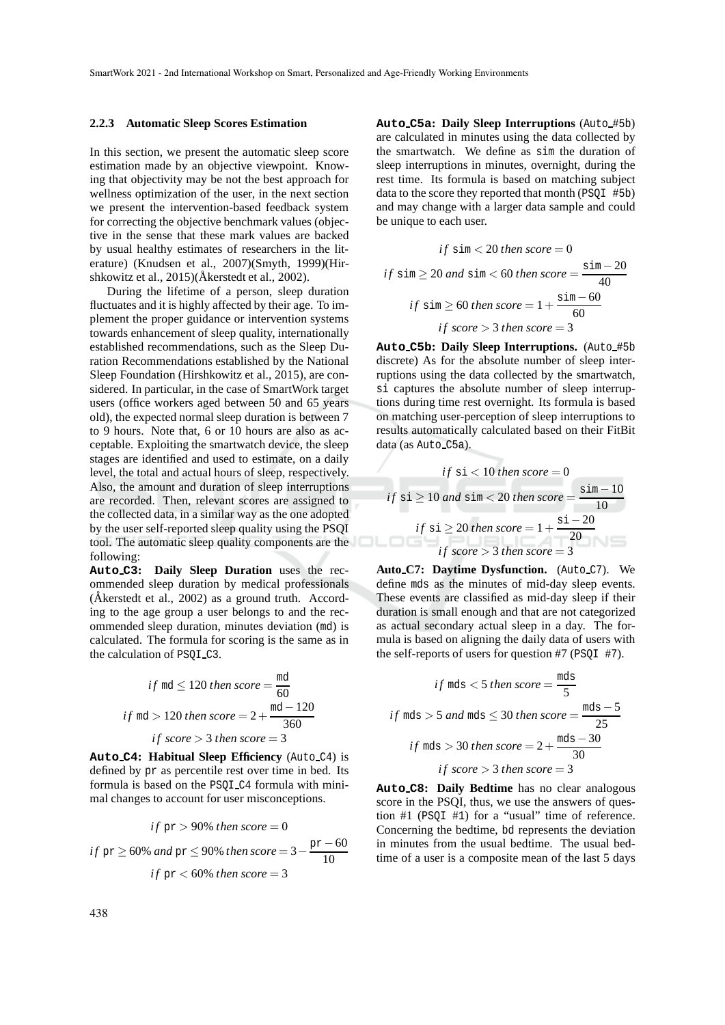#### **2.2.3 Automatic Sleep Scores Estimation**

In this section, we present the automatic sleep score estimation made by an objective viewpoint. Knowing that objectivity may be not the best approach for wellness optimization of the user, in the next section we present the intervention-based feedback system for correcting the objective benchmark values (objective in the sense that these mark values are backed by usual healthy estimates of researchers in the literature) (Knudsen et al., 2007)(Smyth, 1999)(Hirshkowitz et al.,  $2015$ )( $\AA$ kerstedt et al., 2002).

During the lifetime of a person, sleep duration fluctuates and it is highly affected by their age. To implement the proper guidance or intervention systems towards enhancement of sleep quality, internationally established recommendations, such as the Sleep Duration Recommendations established by the National Sleep Foundation (Hirshkowitz et al., 2015), are considered. In particular, in the case of SmartWork target users (office workers aged between 50 and 65 years old), the expected normal sleep duration is between 7 to 9 hours. Note that, 6 or 10 hours are also as acceptable. Exploiting the smartwatch device, the sleep stages are identified and used to estimate, on a daily level, the total and actual hours of sleep, respectively. Also, the amount and duration of sleep interruptions are recorded. Then, relevant scores are assigned to the collected data, in a similar way as the one adopted by the user self-reported sleep quality using the PSQI tool. The automatic sleep quality components are the following:

**Auto C3: Daily Sleep Duration** uses the recommended sleep duration by medical professionals (Åkerstedt et al.,  $2002$ ) as a ground truth. According to the age group a user belongs to and the recommended sleep duration, minutes deviation (md) is calculated. The formula for scoring is the same as in the calculation of PSQI C3.

if 
$$
md \le 120
$$
 then score =  $\frac{md}{60}$   
if  $md > 120$  then score =  $2 + \frac{md - 120}{360}$   
if score > 3 then score = 3

**Auto C4: Habitual Sleep Efficiency** (Auto C4) is defined by pr as percentile rest over time in bed. Its formula is based on the PSQI C4 formula with minimal changes to account for user misconceptions.

if pr > 90% then score = 0  
if pr 
$$
\geq
$$
 60% and pr  $\leq$  90% then score =  $3 - \frac{pr - 60}{10}$   
if pr < 60% then score = 3

**Auto C5a: Daily Sleep Interruptions** (Auto #5b) are calculated in minutes using the data collected by the smartwatch. We define as sim the duration of sleep interruptions in minutes, overnight, during the rest time. Its formula is based on matching subject data to the score they reported that month (PSQI #5b) and may change with a larger data sample and could be unique to each user.

$$
if \sin < 20 \text{ then score} = 0
$$
\n
$$
if \sin \ge 20 \text{ and } \sin < 60 \text{ then score} = \frac{\sin - 20}{40}
$$
\n
$$
if \sin \ge 60 \text{ then score} = 1 + \frac{\sin - 60}{60}
$$
\n
$$
if \text{ score} > 3 \text{ then score} = 3
$$

**Auto C5b: Daily Sleep Interruptions.** (Auto #5b discrete) As for the absolute number of sleep interruptions using the data collected by the smartwatch, si captures the absolute number of sleep interruptions during time rest overnight. Its formula is based on matching user-perception of sleep interruptions to results automatically calculated based on their FitBit data (as Auto\_C5a).

if 
$$
si
$$
 < 10 then score = 0  
\nif  $si \ge 10$  and  $sim$  < 20 then score =  $\frac{sim - 10}{10}$   
\nif  $si \ge 20$  then score =  $1 + \frac{si - 20}{20}$   
\nif score > 3 then score = 3

Auto\_C7: Daytime Dysfunction. (Auto\_C7). We define mds as the minutes of mid-day sleep events. These events are classified as mid-day sleep if their duration is small enough and that are not categorized as actual secondary actual sleep in a day. The formula is based on aligning the daily data of users with the self-reports of users for question #7 (PSQI #7).

if mds < 5 then score = 
$$
\frac{mds}{5}
$$
  
if mds > 5 and mds  $\leq$  30 then score =  $\frac{mds - 5}{25}$   
if mds > 30 then score =  $2 + \frac{mds - 30}{30}$   
if score > 3 then score = 3

**Auto C8: Daily Bedtime** has no clear analogous score in the PSQI, thus, we use the answers of question #1 (PSQI #1) for a "usual" time of reference. Concerning the bedtime, bd represents the deviation in minutes from the usual bedtime. The usual bedtime of a user is a composite mean of the last 5 days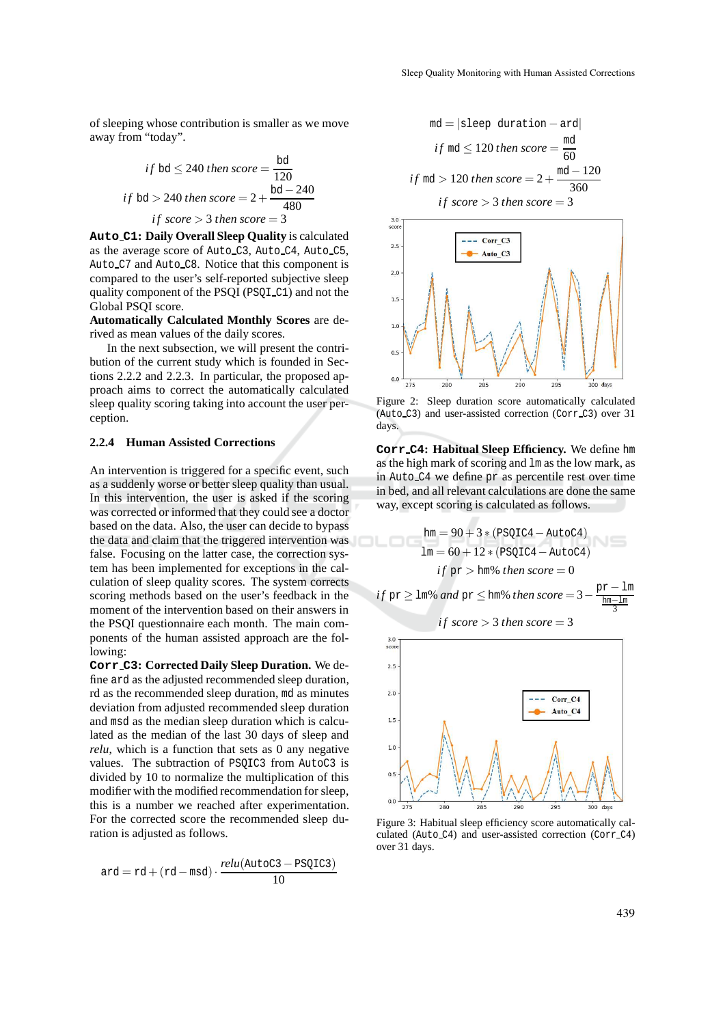of sleeping whose contribution is smaller as we move away from "today".

if bd 
$$
\leq
$$
 240 then score =  $\frac{bd}{120}$   
if bd > 240 then score =  $2 + \frac{bd - 240}{480}$   
if score > 3 then score = 3

**Auto C1: Daily Overall Sleep Quality** is calculated as the average score of Auto C3, Auto C4, Auto C5, Auto C7 and Auto C8. Notice that this component is compared to the user's self-reported subjective sleep quality component of the PSQI (PSQI C1) and not the Global PSQI score.

**Automatically Calculated Monthly Scores** are derived as mean values of the daily scores.

In the next subsection, we will present the contribution of the current study which is founded in Sections 2.2.2 and 2.2.3. In particular, the proposed approach aims to correct the automatically calculated sleep quality scoring taking into account the user perception.

#### **2.2.4 Human Assisted Corrections**

An intervention is triggered for a specific event, such as a suddenly worse or better sleep quality than usual. In this intervention, the user is asked if the scoring was corrected or informed that they could see a doctor based on the data. Also, the user can decide to bypass the data and claim that the triggered intervention was false. Focusing on the latter case, the correction system has been implemented for exceptions in the calculation of sleep quality scores. The system corrects scoring methods based on the user's feedback in the moment of the intervention based on their answers in the PSQI questionnaire each month. The main components of the human assisted approach are the following:

**Corr C3: Corrected Daily Sleep Duration.** We define ard as the adjusted recommended sleep duration, rd as the recommended sleep duration, md as minutes deviation from adjusted recommended sleep duration and msd as the median sleep duration which is calculated as the median of the last 30 days of sleep and *relu*, which is a function that sets as 0 any negative values. The subtraction of PSQIC3 from AutoC3 is divided by 10 to normalize the multiplication of this modifier with the modified recommendation for sleep, this is a number we reached after experimentation. For the corrected score the recommended sleep duration is adjusted as follows.

$$
ard = rd + (rd - msd) \cdot \frac{relu(\text{AutoC3} - \text{PSQIC3})}{10}
$$



Figure 2: Sleep duration score automatically calculated (Auto C3) and user-assisted correction (Corr C3) over 31 days.

**Corr C4: Habitual Sleep Efficiency.** We define hm as the high mark of scoring and lm as the low mark, as in Auto C4 we define pr as percentile rest over time in bed, and all relevant calculations are done the same way, except scoring is calculated as follows.



Figure 3: Habitual sleep efficiency score automatically calculated (Auto C4) and user-assisted correction (Corr C4) over 31 days.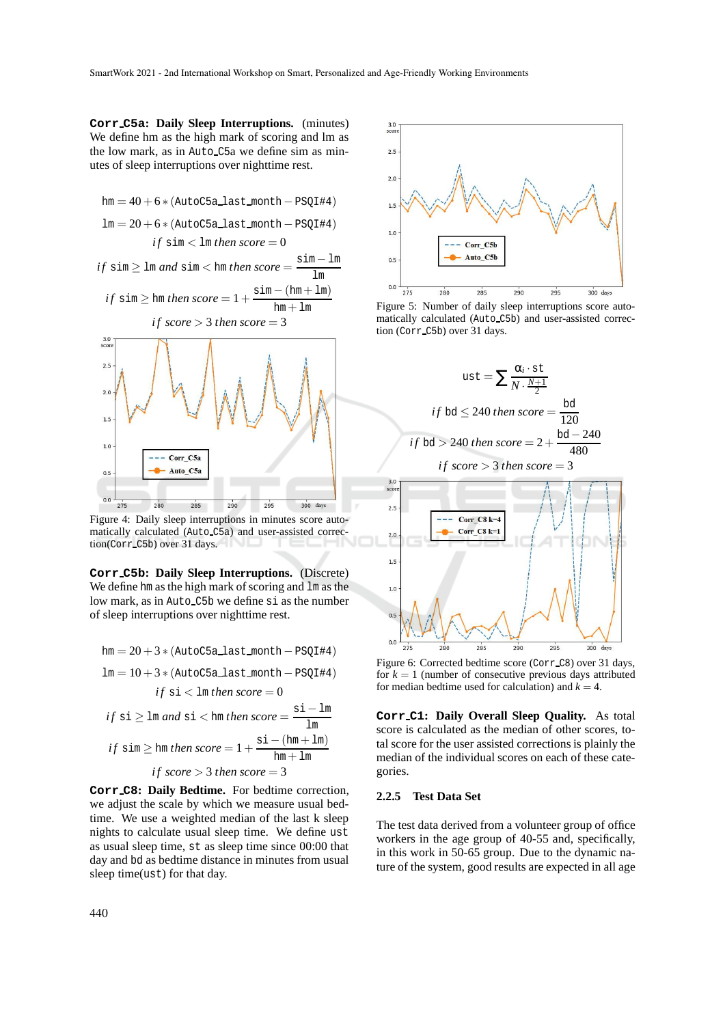**Corr C5a: Daily Sleep Interruptions.** (minutes) We define hm as the high mark of scoring and lm as the low mark, as in Auto C5a we define sim as minutes of sleep interruptions over nighttime rest.



Figure 4: Daily sleep interruptions in minutes score automatically calculated (Auto C5a) and user-assisted correction(Corr C5b) over 31 days.

**Corr C5b: Daily Sleep Interruptions.** (Discrete) We define hm as the high mark of scoring and  $\text{Im}$  as the low mark, as in Auto C5b we define si as the number of sleep interruptions over nighttime rest.

$$
hm = 20 + 3 * (AutoC5a\_last\_month - PSQI#4)
$$
\n
$$
lm = 10 + 3 * (AutoC5a\_last\_month - PSQI#4)
$$
\n
$$
if \text{ si } < lm \text{ then } score = 0
$$
\n
$$
if \text{ si } \ge lm \text{ and } si < hm \text{ then } score = \frac{\text{si} - lm}{lm}
$$
\n
$$
if \text{ sim } \ge hm \text{ then } score = 1 + \frac{\text{si} - (hm + lm)}{hm + lm}
$$
\n
$$
if \text{ score } > 3 \text{ then } score = 3
$$

**Corr C8: Daily Bedtime.** For bedtime correction, we adjust the scale by which we measure usual bedtime. We use a weighted median of the last k sleep nights to calculate usual sleep time. We define ust as usual sleep time, st as sleep time since 00:00 that day and bd as bedtime distance in minutes from usual sleep time(ust) for that day.



Figure 5: Number of daily sleep interruptions score automatically calculated (Auto C5b) and user-assisted correction (Corr C5b) over 31 days.



Figure 6: Corrected bedtime score (Corr C8) over 31 days, for  $k = 1$  (number of consecutive previous days attributed for median bedtime used for calculation) and  $k = 4$ .

**Corr C1: Daily Overall Sleep Quality.** As total score is calculated as the median of other scores, total score for the user assisted corrections is plainly the median of the individual scores on each of these categories.

#### **2.2.5 Test Data Set**

The test data derived from a volunteer group of office workers in the age group of 40-55 and, specifically, in this work in 50-65 group. Due to the dynamic nature of the system, good results are expected in all age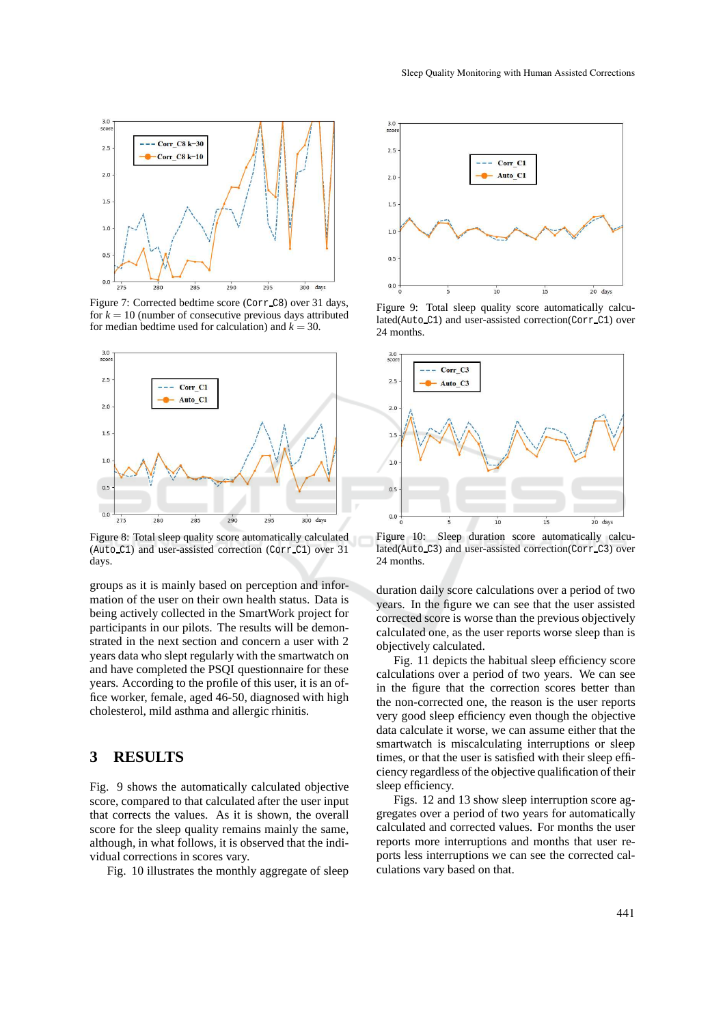

Figure 7: Corrected bedtime score (Corr C8) over 31 days, for  $k = 10$  (number of consecutive previous days attributed for median bedtime used for calculation) and  $k = 30$ .



Figure 8: Total sleep quality score automatically calculated (Auto\_C1) and user-assisted correction (Corr\_C1) over 31 days.

groups as it is mainly based on perception and information of the user on their own health status. Data is being actively collected in the SmartWork project for participants in our pilots. The results will be demonstrated in the next section and concern a user with 2 years data who slept regularly with the smartwatch on and have completed the PSQI questionnaire for these years. According to the profile of this user, it is an office worker, female, aged 46-50, diagnosed with high cholesterol, mild asthma and allergic rhinitis.

## **3 RESULTS**

Fig. 9 shows the automatically calculated objective score, compared to that calculated after the user input that corrects the values. As it is shown, the overall score for the sleep quality remains mainly the same, although, in what follows, it is observed that the individual corrections in scores vary.

Fig. 10 illustrates the monthly aggregate of sleep



Figure 9: Total sleep quality score automatically calculated(Auto C1) and user-assisted correction(Corr C1) over 24 months.



Figure 10: Sleep duration score automatically calculated(Auto C3) and user-assisted correction(Corr C3) over 24 months.

duration daily score calculations over a period of two years. In the figure we can see that the user assisted corrected score is worse than the previous objectively calculated one, as the user reports worse sleep than is objectively calculated.

Fig. 11 depicts the habitual sleep efficiency score calculations over a period of two years. We can see in the figure that the correction scores better than the non-corrected one, the reason is the user reports very good sleep efficiency even though the objective data calculate it worse, we can assume either that the smartwatch is miscalculating interruptions or sleep times, or that the user is satisfied with their sleep efficiency regardless of the objective qualification of their sleep efficiency.

Figs. 12 and 13 show sleep interruption score aggregates over a period of two years for automatically calculated and corrected values. For months the user reports more interruptions and months that user reports less interruptions we can see the corrected calculations vary based on that.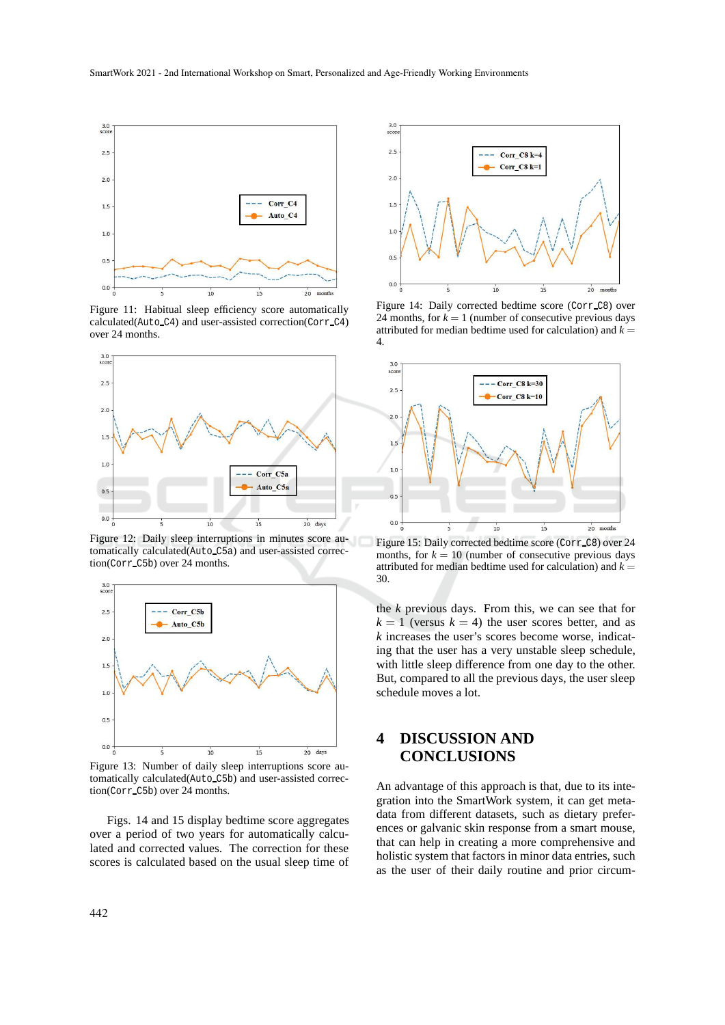

Figure 11: Habitual sleep efficiency score automatically calculated(Auto C4) and user-assisted correction(Corr C4) over 24 months.



Figure 12: Daily sleep interruptions in minutes score automatically calculated(Auto C5a) and user-assisted correction(Corr C5b) over 24 months.



Figure 13: Number of daily sleep interruptions score automatically calculated(Auto C5b) and user-assisted correction(Corr C5b) over 24 months.

Figs. 14 and 15 display bedtime score aggregates over a period of two years for automatically calculated and corrected values. The correction for these scores is calculated based on the usual sleep time of



Figure 14: Daily corrected bedtime score (Corr C8) over 24 months, for  $k = 1$  (number of consecutive previous days attributed for median bedtime used for calculation) and  $k =$ 4.



Figure 15: Daily corrected bedtime score (Corr\_C8) over 24 months, for  $k = 10$  (number of consecutive previous days attributed for median bedtime used for calculation) and  $k =$ 30.

the *k* previous days. From this, we can see that for  $k = 1$  (versus  $k = 4$ ) the user scores better, and as *k* increases the user's scores become worse, indicating that the user has a very unstable sleep schedule, with little sleep difference from one day to the other. But, compared to all the previous days, the user sleep schedule moves a lot.

# **4 DISCUSSION AND CONCLUSIONS**

An advantage of this approach is that, due to its integration into the SmartWork system, it can get metadata from different datasets, such as dietary preferences or galvanic skin response from a smart mouse, that can help in creating a more comprehensive and holistic system that factors in minor data entries, such as the user of their daily routine and prior circum-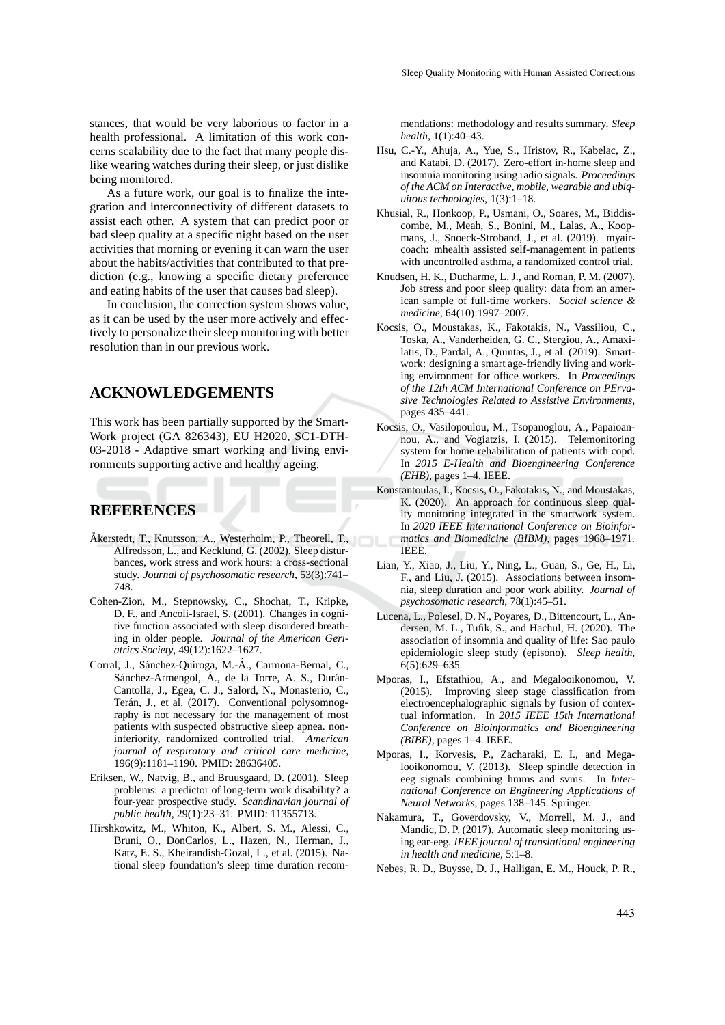As a future work, our goal is to finalize the integration and interconnectivity of different datasets to assist each other. A system that can predict poor or bad sleep quality at a specific night based on the user activities that morning or evening it can warn the user about the habits/activities that contributed to that prediction (e.g., knowing a specific dietary preference and eating habits of the user that causes bad sleep).

In conclusion, the correction system shows value, as it can be used by the user more actively and effectively to personalize their sleep monitoring with better resolution than in our previous work.

### **ACKNOWLEDGEMENTS**

This work has been partially supported by the Smart-Work project (GA 826343), EU H2020, SC1-DTH-03-2018 - Adaptive smart working and living environments supporting active and healthy ageing.

# **REFERENCES**

- Åkerstedt, T., Knutsson, A., Westerholm, P., Theorell, T., Alfredsson, L., and Kecklund, G. (2002). Sleep disturbances, work stress and work hours: a cross-sectional study. *Journal of psychosomatic research*, 53(3):741– 748.
- Cohen-Zion, M., Stepnowsky, C., Shochat, T., Kripke, D. F., and Ancoli-Israel, S. (2001). Changes in cognitive function associated with sleep disordered breathing in older people. *Journal of the American Geriatrics Society*, 49(12):1622–1627.
- Corral, J., Sánchez-Quiroga, M.-Á., Carmona-Bernal, C., Sánchez-Armengol, Á., de la Torre, A. S., Durán-Cantolla, J., Egea, C. J., Salord, N., Monasterio, C., Terán, J., et al. (2017). Conventional polysomnography is not necessary for the management of most patients with suspected obstructive sleep apnea. noninferiority, randomized controlled trial. *American journal of respiratory and critical care medicine*, 196(9):1181–1190. PMID: 28636405.
- Eriksen, W., Natvig, B., and Bruusgaard, D. (2001). Sleep problems: a predictor of long-term work disability? a four-year prospective study. *Scandinavian journal of public health*, 29(1):23–31. PMID: 11355713.
- Hirshkowitz, M., Whiton, K., Albert, S. M., Alessi, C., Bruni, O., DonCarlos, L., Hazen, N., Herman, J., Katz, E. S., Kheirandish-Gozal, L., et al. (2015). National sleep foundation's sleep time duration recom-

mendations: methodology and results summary. *Sleep health*, 1(1):40–43.

- Hsu, C.-Y., Ahuja, A., Yue, S., Hristov, R., Kabelac, Z., and Katabi, D. (2017). Zero-effort in-home sleep and insomnia monitoring using radio signals. *Proceedings of the ACM on Interactive, mobile, wearable and ubiquitous technologies*, 1(3):1–18.
- Khusial, R., Honkoop, P., Usmani, O., Soares, M., Biddiscombe, M., Meah, S., Bonini, M., Lalas, A., Koopmans, J., Snoeck-Stroband, J., et al. (2019). myaircoach: mhealth assisted self-management in patients with uncontrolled asthma, a randomized control trial.
- Knudsen, H. K., Ducharme, L. J., and Roman, P. M. (2007). Job stress and poor sleep quality: data from an american sample of full-time workers. *Social science & medicine*, 64(10):1997–2007.
- Kocsis, O., Moustakas, K., Fakotakis, N., Vassiliou, C., Toska, A., Vanderheiden, G. C., Stergiou, A., Amaxilatis, D., Pardal, A., Quintas, J., et al. (2019). Smartwork: designing a smart age-friendly living and working environment for office workers. In *Proceedings of the 12th ACM International Conference on PErvasive Technologies Related to Assistive Environments*, pages 435–441.
- Kocsis, O., Vasilopoulou, M., Tsopanoglou, A., Papaioannou, A., and Vogiatzis, I. (2015). Telemonitoring system for home rehabilitation of patients with copd. In *2015 E-Health and Bioengineering Conference (EHB)*, pages 1–4. IEEE.
- Konstantoulas, I., Kocsis, O., Fakotakis, N., and Moustakas, K. (2020). An approach for continuous sleep quality monitoring integrated in the smartwork system. In *2020 IEEE International Conference on Bioinformatics and Biomedicine (BIBM)*, pages 1968–1971. IEEE.
- Lian, Y., Xiao, J., Liu, Y., Ning, L., Guan, S., Ge, H., Li, F., and Liu, J. (2015). Associations between insomnia, sleep duration and poor work ability. *Journal of psychosomatic research*, 78(1):45–51.
- Lucena, L., Polesel, D. N., Poyares, D., Bittencourt, L., Andersen, M. L., Tufik, S., and Hachul, H. (2020). The association of insomnia and quality of life: Sao paulo epidemiologic sleep study (episono). *Sleep health*, 6(5):629–635.
- Mporas, I., Efstathiou, A., and Megalooikonomou, V. (2015). Improving sleep stage classification from electroencephalographic signals by fusion of contextual information. In *2015 IEEE 15th International Conference on Bioinformatics and Bioengineering (BIBE)*, pages 1–4. IEEE.
- Mporas, I., Korvesis, P., Zacharaki, E. I., and Megalooikonomou, V. (2013). Sleep spindle detection in eeg signals combining hmms and svms. In *International Conference on Engineering Applications of Neural Networks*, pages 138–145. Springer.
- Nakamura, T., Goverdovsky, V., Morrell, M. J., and Mandic, D. P. (2017). Automatic sleep monitoring using ear-eeg. *IEEE journal of translational engineering in health and medicine*, 5:1–8.
- Nebes, R. D., Buysse, D. J., Halligan, E. M., Houck, P. R.,